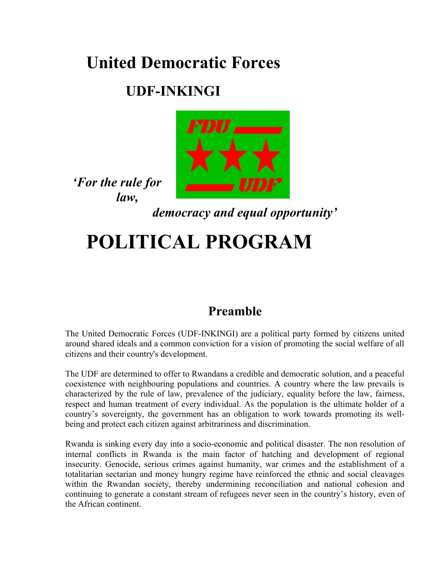# **United Democratic Forces**

# **UDF-INKINGI**



*'For the rule for law,*

*democracy and equal opportunity'*

# **POLITICAL PROGRAM**

# **Preamble**

The United Democratic Forces (UDF-INKINGI) are a political party formed by citizens united around shared ideals and a common conviction for a vision of promoting the social welfare of all citizens and their country's development.

The UDF are determined to offer to Rwandans a credible and democratic solution, and a peaceful coexistence with neighbouring populations and countries. A country where the law prevails is characterized by the rule of law, prevalence of the judiciary, equality before the law, fairness, respect and human treatment of every individual. As the population is the ultimate holder of a country's sovereignty, the government has an obligation to work towards promoting its wellbeing and protect each citizen against arbitrariness and discrimination.

Rwanda is sinking every day into a socio-economic and political disaster. The non resolution of internal conflicts in Rwanda is the main factor of hatching and development of regional insecurity. Genocide, serious crimes against humanity, war crimes and the establishment of a totalitarian sectarian and money hungry regime have reinforced the ethnic and social cleavages within the Rwandan society, thereby undermining reconciliation and national cohesion and continuing to generate a constant stream of refugees never seen in the country's history, even of the African continent.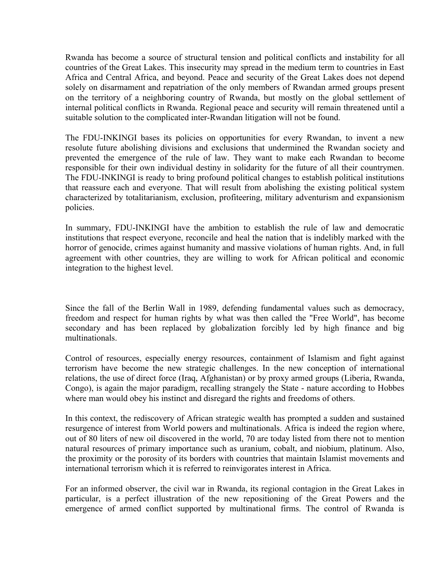Rwanda has become a source of structural tension and political conflicts and instability for all countries of the Great Lakes. This insecurity may spread in the medium term to countries in East Africa and Central Africa, and beyond. Peace and security of the Great Lakes does not depend solely on disarmament and repatriation of the only members of Rwandan armed groups present on the territory of a neighboring country of Rwanda, but mostly on the global settlement of internal political conflicts in Rwanda. Regional peace and security will remain threatened until a suitable solution to the complicated inter-Rwandan litigation will not be found.

The FDU-INKINGI bases its policies on opportunities for every Rwandan, to invent a new resolute future abolishing divisions and exclusions that undermined the Rwandan society and prevented the emergence of the rule of law. They want to make each Rwandan to become responsible for their own individual destiny in solidarity for the future of all their countrymen. The FDU-INKINGI is ready to bring profound political changes to establish political institutions that reassure each and everyone. That will result from abolishing the existing political system characterized by totalitarianism, exclusion, profiteering, military adventurism and expansionism policies.

In summary, FDU-INKINGI have the ambition to establish the rule of law and democratic institutions that respect everyone, reconcile and heal the nation that is indelibly marked with the horror of genocide, crimes against humanity and massive violations of human rights. And, in full agreement with other countries, they are willing to work for African political and economic integration to the highest level.

Since the fall of the Berlin Wall in 1989, defending fundamental values such as democracy, freedom and respect for human rights by what was then called the "Free World", has become secondary and has been replaced by globalization forcibly led by high finance and big multinationals.

Control of resources, especially energy resources, containment of Islamism and fight against terrorism have become the new strategic challenges. In the new conception of international relations, the use of direct force (Iraq, Afghanistan) or by proxy armed groups (Liberia, Rwanda, Congo), is again the major paradigm, recalling strangely the State - nature according to Hobbes where man would obey his instinct and disregard the rights and freedoms of others.

In this context, the rediscovery of African strategic wealth has prompted a sudden and sustained resurgence of interest from World powers and multinationals. Africa is indeed the region where, out of 80 liters of new oil discovered in the world, 70 are today listed from there not to mention natural resources of primary importance such as uranium, cobalt, and niobium, platinum. Also, the proximity or the porosity of its borders with countries that maintain Islamist movements and international terrorism which it is referred to reinvigorates interest in Africa.

For an informed observer, the civil war in Rwanda, its regional contagion in the Great Lakes in particular, is a perfect illustration of the new repositioning of the Great Powers and the emergence of armed conflict supported by multinational firms. The control of Rwanda is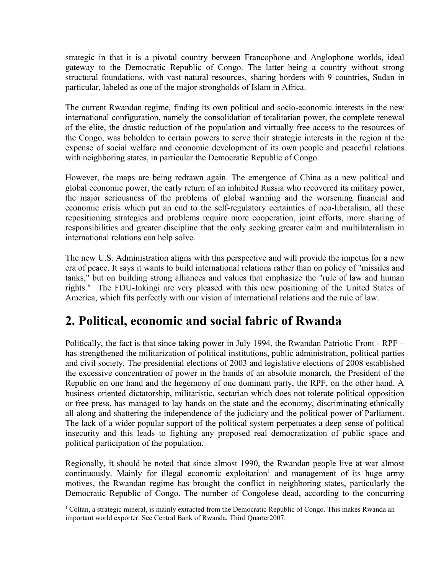strategic in that it is a pivotal country between Francophone and Anglophone worlds, ideal gateway to the Democratic Republic of Congo. The latter being a country without strong structural foundations, with vast natural resources, sharing borders with 9 countries, Sudan in particular, labeled as one of the major strongholds of Islam in Africa.

The current Rwandan regime, finding its own political and socio-economic interests in the new international configuration, namely the consolidation of totalitarian power, the complete renewal of the elite, the drastic reduction of the population and virtually free access to the resources of the Congo, was beholden to certain powers to serve their strategic interests in the region at the expense of social welfare and economic development of its own people and peaceful relations with neighboring states, in particular the Democratic Republic of Congo.

However, the maps are being redrawn again. The emergence of China as a new political and global economic power, the early return of an inhibited Russia who recovered its military power, the major seriousness of the problems of global warming and the worsening financial and economic crisis which put an end to the self-regulatory certainties of neo-liberalism, all these repositioning strategies and problems require more cooperation, joint efforts, more sharing of responsibilities and greater discipline that the only seeking greater calm and multilateralism in international relations can help solve.

The new U.S. Administration aligns with this perspective and will provide the impetus for a new era of peace. It says it wants to build international relations rather than on policy of "missiles and tanks," but on building strong alliances and values that emphasize the "rule of law and human rights." The FDU-Inkingi are very pleased with this new positioning of the United States of America, which fits perfectly with our vision of international relations and the rule of law.

# **2. Political, economic and social fabric of Rwanda**

Politically, the fact is that since taking power in July 1994, the Rwandan Patriotic Front - RPF – has strengthened the militarization of political institutions, public administration, political parties and civil society. The presidential elections of 2003 and legislative elections of 2008 established the excessive concentration of power in the hands of an absolute monarch, the President of the Republic on one hand and the hegemony of one dominant party, the RPF, on the other hand. A business oriented dictatorship, militaristic, sectarian which does not tolerate political opposition or free press, has managed to lay hands on the state and the economy, discriminating ethnically all along and shattering the independence of the judiciary and the political power of Parliament. The lack of a wider popular support of the political system perpetuates a deep sense of political insecurity and this leads to fighting any proposed real democratization of public space and political participation of the population.

Regionally, it should be noted that since almost 1990, the Rwandan people live at war almost continuously. Mainly for illegal economic exploitation<sup>[1](#page-2-0)</sup> and management of its huge army motives, the Rwandan regime has brought the conflict in neighboring states, particularly the Democratic Republic of Congo. The number of Congolese dead, according to the concurring

<span id="page-2-0"></span><sup>1</sup> Coltan, a strategic mineral, is mainly extracted from the Democratic Republic of Congo. This makes Rwanda an important world exporter. See Central Bank of Rwanda, Third Quarter2007.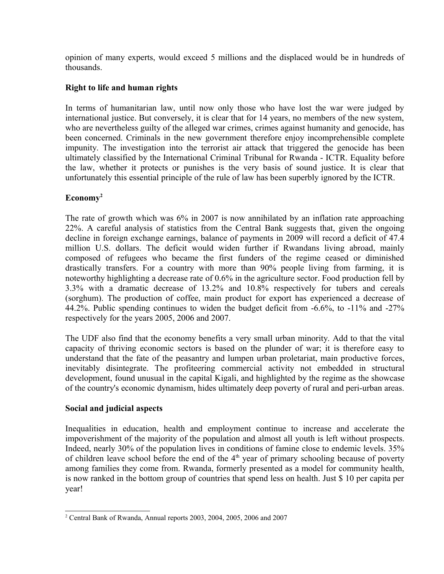opinion of many experts, would exceed 5 millions and the displaced would be in hundreds of thousands.

#### **Right to life and human rights**

In terms of humanitarian law, until now only those who have lost the war were judged by international justice. But conversely, it is clear that for 14 years, no members of the new system, who are nevertheless guilty of the alleged war crimes, crimes against humanity and genocide, has been concerned. Criminals in the new government therefore enjoy incomprehensible complete impunity. The investigation into the terrorist air attack that triggered the genocide has been ultimately classified by the International Criminal Tribunal for Rwanda - ICTR. Equality before the law, whether it protects or punishes is the very basis of sound justice. It is clear that unfortunately this essential principle of the rule of law has been superbly ignored by the ICTR.

#### **Economy[2](#page-3-0)**

The rate of growth which was 6% in 2007 is now annihilated by an inflation rate approaching 22%. A careful analysis of statistics from the Central Bank suggests that, given the ongoing decline in foreign exchange earnings, balance of payments in 2009 will record a deficit of 47.4 million U.S. dollars. The deficit would widen further if Rwandans living abroad, mainly composed of refugees who became the first funders of the regime ceased or diminished drastically transfers. For a country with more than 90% people living from farming, it is noteworthy highlighting a decrease rate of 0.6% in the agriculture sector. Food production fell by 3.3% with a dramatic decrease of 13.2% and 10.8% respectively for tubers and cereals (sorghum). The production of coffee, main product for export has experienced a decrease of 44.2%. Public spending continues to widen the budget deficit from -6.6%, to -11% and -27% respectively for the years 2005, 2006 and 2007.

The UDF also find that the economy benefits a very small urban minority. Add to that the vital capacity of thriving economic sectors is based on the plunder of war; it is therefore easy to understand that the fate of the peasantry and lumpen urban proletariat, main productive forces, inevitably disintegrate. The profiteering commercial activity not embedded in structural development, found unusual in the capital Kigali, and highlighted by the regime as the showcase of the country's economic dynamism, hides ultimately deep poverty of rural and peri-urban areas.

#### **Social and judicial aspects**

Inequalities in education, health and employment continue to increase and accelerate the impoverishment of the majority of the population and almost all youth is left without prospects. Indeed, nearly 30% of the population lives in conditions of famine close to endemic levels. 35% of children leave school before the end of the  $4<sup>th</sup>$  year of primary schooling because of poverty among families they come from. Rwanda, formerly presented as a model for community health, is now ranked in the bottom group of countries that spend less on health. Just \$ 10 per capita per year!

<span id="page-3-0"></span><sup>2</sup> Central Bank of Rwanda, Annual reports 2003, 2004, 2005, 2006 and 2007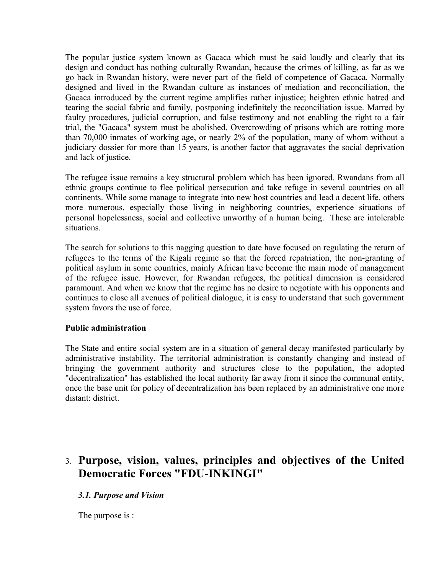The popular justice system known as Gacaca which must be said loudly and clearly that its design and conduct has nothing culturally Rwandan, because the crimes of killing, as far as we go back in Rwandan history, were never part of the field of competence of Gacaca. Normally designed and lived in the Rwandan culture as instances of mediation and reconciliation, the Gacaca introduced by the current regime amplifies rather injustice; heighten ethnic hatred and tearing the social fabric and family, postponing indefinitely the reconciliation issue. Marred by faulty procedures, judicial corruption, and false testimony and not enabling the right to a fair trial, the "Gacaca" system must be abolished. Overcrowding of prisons which are rotting more than 70,000 inmates of working age, or nearly 2% of the population, many of whom without a judiciary dossier for more than 15 years, is another factor that aggravates the social deprivation and lack of justice.

The refugee issue remains a key structural problem which has been ignored. Rwandans from all ethnic groups continue to flee political persecution and take refuge in several countries on all continents. While some manage to integrate into new host countries and lead a decent life, others more numerous, especially those living in neighboring countries, experience situations of personal hopelessness, social and collective unworthy of a human being. These are intolerable situations.

The search for solutions to this nagging question to date have focused on regulating the return of refugees to the terms of the Kigali regime so that the forced repatriation, the non-granting of political asylum in some countries, mainly African have become the main mode of management of the refugee issue. However, for Rwandan refugees, the political dimension is considered paramount. And when we know that the regime has no desire to negotiate with his opponents and continues to close all avenues of political dialogue, it is easy to understand that such government system favors the use of force.

#### **Public administration**

The State and entire social system are in a situation of general decay manifested particularly by administrative instability. The territorial administration is constantly changing and instead of bringing the government authority and structures close to the population, the adopted "decentralization" has established the local authority far away from it since the communal entity, once the base unit for policy of decentralization has been replaced by an administrative one more distant: district.

# 3. **Purpose, vision, values, principles and objectives of the United Democratic Forces "FDU-INKINGI"**

#### *3.1. Purpose and Vision*

The purpose is :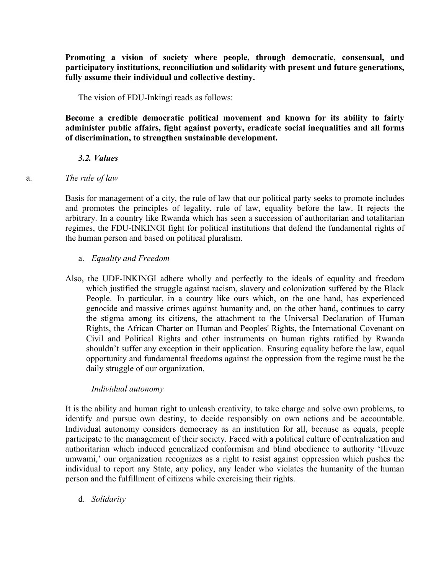**Promoting a vision of society where people, through democratic, consensual, and participatory institutions, reconciliation and solidarity with present and future generations, fully assume their individual and collective destiny.**

The vision of FDU-Inkingi reads as follows:

**Become a credible democratic political movement and known for its ability to fairly administer public affairs, fight against poverty, eradicate social inequalities and all forms of discrimination, to strengthen sustainable development.**

#### *3.2. Values*

#### a. *The rule of law*

Basis for management of a city, the rule of law that our political party seeks to promote includes and promotes the principles of legality, rule of law, equality before the law. It rejects the arbitrary. In a country like Rwanda which has seen a succession of authoritarian and totalitarian regimes, the FDU-INKINGI fight for political institutions that defend the fundamental rights of the human person and based on political pluralism.

#### a. *Equality and Freedom*

Also, the UDF-INKINGI adhere wholly and perfectly to the ideals of equality and freedom which justified the struggle against racism, slavery and colonization suffered by the Black People. In particular, in a country like ours which, on the one hand, has experienced genocide and massive crimes against humanity and, on the other hand, continues to carry the stigma among its citizens, the attachment to the Universal Declaration of Human Rights, the African Charter on Human and Peoples' Rights, the International Covenant on Civil and Political Rights and other instruments on human rights ratified by Rwanda shouldn't suffer any exception in their application. Ensuring equality before the law, equal opportunity and fundamental freedoms against the oppression from the regime must be the daily struggle of our organization.

#### *Individual autonomy*

It is the ability and human right to unleash creativity, to take charge and solve own problems, to identify and pursue own destiny, to decide responsibly on own actions and be accountable. Individual autonomy considers democracy as an institution for all, because as equals, people participate to the management of their society. Faced with a political culture of centralization and authoritarian which induced generalized conformism and blind obedience to authority 'Ilivuze umwami,' our organization recognizes as a right to resist against oppression which pushes the individual to report any State, any policy, any leader who violates the humanity of the human person and the fulfillment of citizens while exercising their rights.

d. *Solidarity*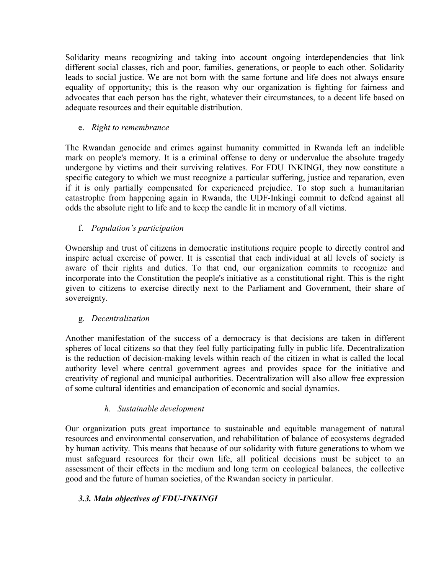Solidarity means recognizing and taking into account ongoing interdependencies that link different social classes, rich and poor, families, generations, or people to each other. Solidarity leads to social justice. We are not born with the same fortune and life does not always ensure equality of opportunity; this is the reason why our organization is fighting for fairness and advocates that each person has the right, whatever their circumstances, to a decent life based on adequate resources and their equitable distribution.

#### e. *Right to remembrance*

The Rwandan genocide and crimes against humanity committed in Rwanda left an indelible mark on people's memory. It is a criminal offense to deny or undervalue the absolute tragedy undergone by victims and their surviving relatives. For FDU\_INKINGI, they now constitute a specific category to which we must recognize a particular suffering, justice and reparation, even if it is only partially compensated for experienced prejudice. To stop such a humanitarian catastrophe from happening again in Rwanda, the UDF-Inkingi commit to defend against all odds the absolute right to life and to keep the candle lit in memory of all victims.

#### f. *Population's participation*

Ownership and trust of citizens in democratic institutions require people to directly control and inspire actual exercise of power. It is essential that each individual at all levels of society is aware of their rights and duties. To that end, our organization commits to recognize and incorporate into the Constitution the people's initiative as a constitutional right. This is the right given to citizens to exercise directly next to the Parliament and Government, their share of sovereignty.

#### g. *Decentralization*

Another manifestation of the success of a democracy is that decisions are taken in different spheres of local citizens so that they feel fully participating fully in public life. Decentralization is the reduction of decision-making levels within reach of the citizen in what is called the local authority level where central government agrees and provides space for the initiative and creativity of regional and municipal authorities. Decentralization will also allow free expression of some cultural identities and emancipation of economic and social dynamics.

#### *h. Sustainable development*

Our organization puts great importance to sustainable and equitable management of natural resources and environmental conservation, and rehabilitation of balance of ecosystems degraded by human activity. This means that because of our solidarity with future generations to whom we must safeguard resources for their own life, all political decisions must be subject to an assessment of their effects in the medium and long term on ecological balances, the collective good and the future of human societies, of the Rwandan society in particular.

#### *3.3. Main objectives of FDU-INKINGI*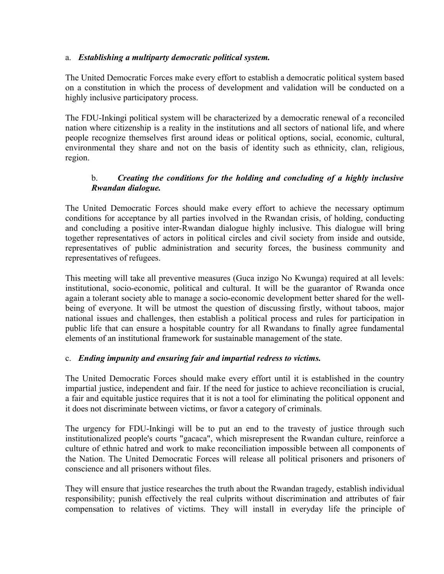#### a. *Establishing a multiparty democratic political system.*

The United Democratic Forces make every effort to establish a democratic political system based on a constitution in which the process of development and validation will be conducted on a highly inclusive participatory process.

The FDU-Inkingi political system will be characterized by a democratic renewal of a reconciled nation where citizenship is a reality in the institutions and all sectors of national life, and where people recognize themselves first around ideas or political options, social, economic, cultural, environmental they share and not on the basis of identity such as ethnicity, clan, religious, region.

#### b. *Creating the conditions for the holding and concluding of a highly inclusive Rwandan dialogue.*

The United Democratic Forces should make every effort to achieve the necessary optimum conditions for acceptance by all parties involved in the Rwandan crisis, of holding, conducting and concluding a positive inter-Rwandan dialogue highly inclusive. This dialogue will bring together representatives of actors in political circles and civil society from inside and outside, representatives of public administration and security forces, the business community and representatives of refugees.

This meeting will take all preventive measures (Guca inzigo No Kwunga) required at all levels: institutional, socio-economic, political and cultural. It will be the guarantor of Rwanda once again a tolerant society able to manage a socio-economic development better shared for the wellbeing of everyone. It will be utmost the question of discussing firstly, without taboos, major national issues and challenges, then establish a political process and rules for participation in public life that can ensure a hospitable country for all Rwandans to finally agree fundamental elements of an institutional framework for sustainable management of the state.

#### c. *Ending impunity and ensuring fair and impartial redress to victims.*

The United Democratic Forces should make every effort until it is established in the country impartial justice, independent and fair. If the need for justice to achieve reconciliation is crucial, a fair and equitable justice requires that it is not a tool for eliminating the political opponent and it does not discriminate between victims, or favor a category of criminals.

The urgency for FDU-Inkingi will be to put an end to the travesty of justice through such institutionalized people's courts "gacaca", which misrepresent the Rwandan culture, reinforce a culture of ethnic hatred and work to make reconciliation impossible between all components of the Nation. The United Democratic Forces will release all political prisoners and prisoners of conscience and all prisoners without files.

They will ensure that justice researches the truth about the Rwandan tragedy, establish individual responsibility; punish effectively the real culprits without discrimination and attributes of fair compensation to relatives of victims. They will install in everyday life the principle of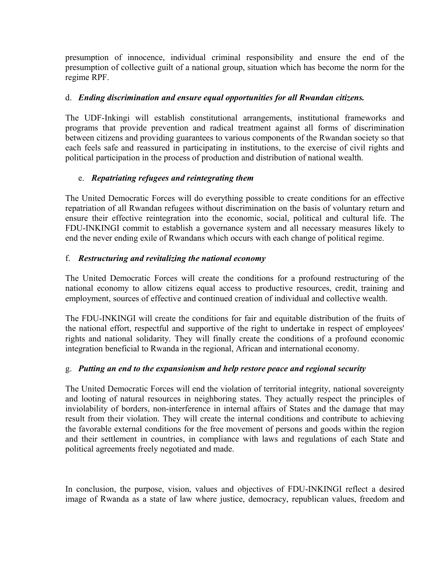presumption of innocence, individual criminal responsibility and ensure the end of the presumption of collective guilt of a national group, situation which has become the norm for the regime RPF.

#### d. *Ending discrimination and ensure equal opportunities for all Rwandan citizens.*

The UDF-Inkingi will establish constitutional arrangements, institutional frameworks and programs that provide prevention and radical treatment against all forms of discrimination between citizens and providing guarantees to various components of the Rwandan society so that each feels safe and reassured in participating in institutions, to the exercise of civil rights and political participation in the process of production and distribution of national wealth.

#### e. *Repatriating refugees and reintegrating them*

The United Democratic Forces will do everything possible to create conditions for an effective repatriation of all Rwandan refugees without discrimination on the basis of voluntary return and ensure their effective reintegration into the economic, social, political and cultural life. The FDU-INKINGI commit to establish a governance system and all necessary measures likely to end the never ending exile of Rwandans which occurs with each change of political regime.

#### f. *Restructuring and revitalizing the national economy*

The United Democratic Forces will create the conditions for a profound restructuring of the national economy to allow citizens equal access to productive resources, credit, training and employment, sources of effective and continued creation of individual and collective wealth.

The FDU-INKINGI will create the conditions for fair and equitable distribution of the fruits of the national effort, respectful and supportive of the right to undertake in respect of employees' rights and national solidarity. They will finally create the conditions of a profound economic integration beneficial to Rwanda in the regional, African and international economy.

#### g. *Putting an end to the expansionism and help restore peace and regional security*

The United Democratic Forces will end the violation of territorial integrity, national sovereignty and looting of natural resources in neighboring states. They actually respect the principles of inviolability of borders, non-interference in internal affairs of States and the damage that may result from their violation. They will create the internal conditions and contribute to achieving the favorable external conditions for the free movement of persons and goods within the region and their settlement in countries, in compliance with laws and regulations of each State and political agreements freely negotiated and made.

In conclusion, the purpose, vision, values and objectives of FDU-INKINGI reflect a desired image of Rwanda as a state of law where justice, democracy, republican values, freedom and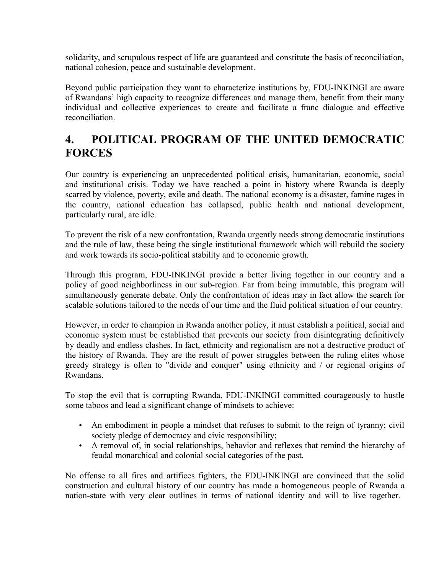solidarity, and scrupulous respect of life are guaranteed and constitute the basis of reconciliation, national cohesion, peace and sustainable development.

Beyond public participation they want to characterize institutions by, FDU-INKINGI are aware of Rwandans' high capacity to recognize differences and manage them, benefit from their many individual and collective experiences to create and facilitate a franc dialogue and effective reconciliation.

# **4. POLITICAL PROGRAM OF THE UNITED DEMOCRATIC FORCES**

Our country is experiencing an unprecedented political crisis, humanitarian, economic, social and institutional crisis. Today we have reached a point in history where Rwanda is deeply scarred by violence, poverty, exile and death. The national economy is a disaster, famine rages in the country, national education has collapsed, public health and national development, particularly rural, are idle.

To prevent the risk of a new confrontation, Rwanda urgently needs strong democratic institutions and the rule of law, these being the single institutional framework which will rebuild the society and work towards its socio-political stability and to economic growth.

Through this program, FDU-INKINGI provide a better living together in our country and a policy of good neighborliness in our sub-region. Far from being immutable, this program will simultaneously generate debate. Only the confrontation of ideas may in fact allow the search for scalable solutions tailored to the needs of our time and the fluid political situation of our country.

However, in order to champion in Rwanda another policy, it must establish a political, social and economic system must be established that prevents our society from disintegrating definitively by deadly and endless clashes. In fact, ethnicity and regionalism are not a destructive product of the history of Rwanda. They are the result of power struggles between the ruling elites whose greedy strategy is often to "divide and conquer" using ethnicity and / or regional origins of Rwandans.

To stop the evil that is corrupting Rwanda, FDU-INKINGI committed courageously to hustle some taboos and lead a significant change of mindsets to achieve:

- An embodiment in people a mindset that refuses to submit to the reign of tyranny; civil society pledge of democracy and civic responsibility;
- A removal of, in social relationships, behavior and reflexes that remind the hierarchy of feudal monarchical and colonial social categories of the past.

No offense to all fires and artifices fighters, the FDU-INKINGI are convinced that the solid construction and cultural history of our country has made a homogeneous people of Rwanda a nation-state with very clear outlines in terms of national identity and will to live together.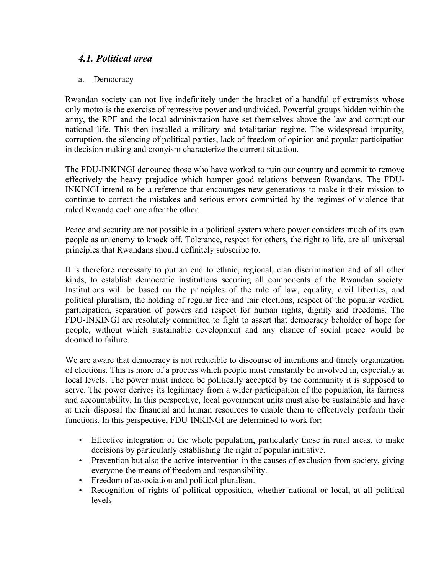## *4.1. Political area*

#### a. Democracy

Rwandan society can not live indefinitely under the bracket of a handful of extremists whose only motto is the exercise of repressive power and undivided. Powerful groups hidden within the army, the RPF and the local administration have set themselves above the law and corrupt our national life. This then installed a military and totalitarian regime. The widespread impunity, corruption, the silencing of political parties, lack of freedom of opinion and popular participation in decision making and cronyism characterize the current situation.

The FDU-INKINGI denounce those who have worked to ruin our country and commit to remove effectively the heavy prejudice which hamper good relations between Rwandans. The FDU-INKINGI intend to be a reference that encourages new generations to make it their mission to continue to correct the mistakes and serious errors committed by the regimes of violence that ruled Rwanda each one after the other.

Peace and security are not possible in a political system where power considers much of its own people as an enemy to knock off. Tolerance, respect for others, the right to life, are all universal principles that Rwandans should definitely subscribe to.

It is therefore necessary to put an end to ethnic, regional, clan discrimination and of all other kinds, to establish democratic institutions securing all components of the Rwandan society. Institutions will be based on the principles of the rule of law, equality, civil liberties, and political pluralism, the holding of regular free and fair elections, respect of the popular verdict, participation, separation of powers and respect for human rights, dignity and freedoms. The FDU-INKINGI are resolutely committed to fight to assert that democracy beholder of hope for people, without which sustainable development and any chance of social peace would be doomed to failure.

We are aware that democracy is not reducible to discourse of intentions and timely organization of elections. This is more of a process which people must constantly be involved in, especially at local levels. The power must indeed be politically accepted by the community it is supposed to serve. The power derives its legitimacy from a wider participation of the population, its fairness and accountability. In this perspective, local government units must also be sustainable and have at their disposal the financial and human resources to enable them to effectively perform their functions. In this perspective, FDU-INKINGI are determined to work for:

- Effective integration of the whole population, particularly those in rural areas, to make decisions by particularly establishing the right of popular initiative.
- Prevention but also the active intervention in the causes of exclusion from society, giving everyone the means of freedom and responsibility.
- Freedom of association and political pluralism.
- Recognition of rights of political opposition, whether national or local, at all political levels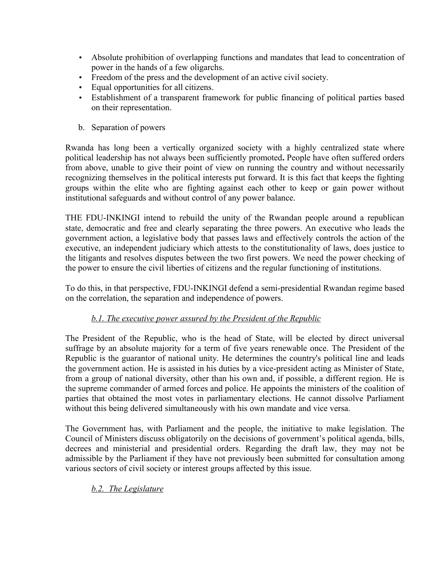- Absolute prohibition of overlapping functions and mandates that lead to concentration of power in the hands of a few oligarchs.
- Freedom of the press and the development of an active civil society.
- Equal opportunities for all citizens.
- Establishment of a transparent framework for public financing of political parties based on their representation.
- b. Separation of powers

Rwanda has long been a vertically organized society with a highly centralized state where political leadership has not always been sufficiently promoted**.** People have often suffered orders from above, unable to give their point of view on running the country and without necessarily recognizing themselves in the political interests put forward. It is this fact that keeps the fighting groups within the elite who are fighting against each other to keep or gain power without institutional safeguards and without control of any power balance.

THE FDU-INKINGI intend to rebuild the unity of the Rwandan people around a republican state, democratic and free and clearly separating the three powers. An executive who leads the government action, a legislative body that passes laws and effectively controls the action of the executive, an independent judiciary which attests to the constitutionality of laws, does justice to the litigants and resolves disputes between the two first powers. We need the power checking of the power to ensure the civil liberties of citizens and the regular functioning of institutions.

To do this, in that perspective, FDU-INKINGI defend a semi-presidential Rwandan regime based on the correlation, the separation and independence of powers.

## *b.1. The executive power assured by the President of the Republic*

The President of the Republic, who is the head of State, will be elected by direct universal suffrage by an absolute majority for a term of five years renewable once. The President of the Republic is the guarantor of national unity. He determines the country's political line and leads the government action. He is assisted in his duties by a vice-president acting as Minister of State, from a group of national diversity, other than his own and, if possible, a different region. He is the supreme commander of armed forces and police. He appoints the ministers of the coalition of parties that obtained the most votes in parliamentary elections. He cannot dissolve Parliament without this being delivered simultaneously with his own mandate and vice versa.

The Government has, with Parliament and the people, the initiative to make legislation. The Council of Ministers discuss obligatorily on the decisions of government's political agenda, bills, decrees and ministerial and presidential orders. Regarding the draft law, they may not be admissible by the Parliament if they have not previously been submitted for consultation among various sectors of civil society or interest groups affected by this issue.

#### *b.2. The Legislature*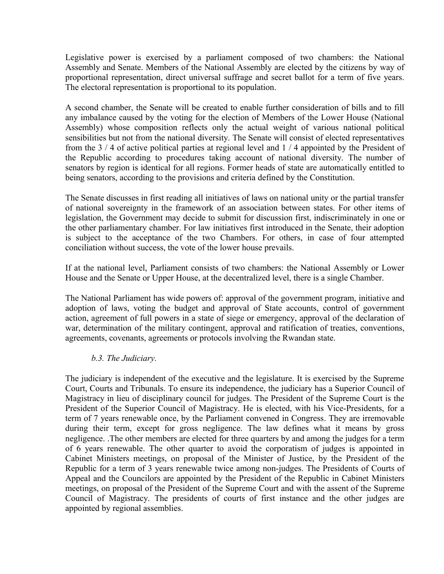Legislative power is exercised by a parliament composed of two chambers: the National Assembly and Senate. Members of the National Assembly are elected by the citizens by way of proportional representation, direct universal suffrage and secret ballot for a term of five years. The electoral representation is proportional to its population.

A second chamber, the Senate will be created to enable further consideration of bills and to fill any imbalance caused by the voting for the election of Members of the Lower House (National Assembly) whose composition reflects only the actual weight of various national political sensibilities but not from the national diversity. The Senate will consist of elected representatives from the 3 / 4 of active political parties at regional level and 1 / 4 appointed by the President of the Republic according to procedures taking account of national diversity. The number of senators by region is identical for all regions. Former heads of state are automatically entitled to being senators, according to the provisions and criteria defined by the Constitution.

The Senate discusses in first reading all initiatives of laws on national unity or the partial transfer of national sovereignty in the framework of an association between states. For other items of legislation, the Government may decide to submit for discussion first, indiscriminately in one or the other parliamentary chamber. For law initiatives first introduced in the Senate, their adoption is subject to the acceptance of the two Chambers. For others, in case of four attempted conciliation without success, the vote of the lower house prevails.

If at the national level, Parliament consists of two chambers: the National Assembly or Lower House and the Senate or Upper House, at the decentralized level, there is a single Chamber.

The National Parliament has wide powers of: approval of the government program, initiative and adoption of laws, voting the budget and approval of State accounts, control of government action, agreement of full powers in a state of siege or emergency, approval of the declaration of war, determination of the military contingent, approval and ratification of treaties, conventions, agreements, covenants, agreements or protocols involving the Rwandan state.

#### *b.3. The Judiciary.*

The judiciary is independent of the executive and the legislature. It is exercised by the Supreme Court, Courts and Tribunals. To ensure its independence, the judiciary has a Superior Council of Magistracy in lieu of disciplinary council for judges. The President of the Supreme Court is the President of the Superior Council of Magistracy. He is elected, with his Vice-Presidents, for a term of 7 years renewable once, by the Parliament convened in Congress. They are irremovable during their term, except for gross negligence. The law defines what it means by gross negligence. .The other members are elected for three quarters by and among the judges for a term of 6 years renewable. The other quarter to avoid the corporatism of judges is appointed in Cabinet Ministers meetings, on proposal of the Minister of Justice, by the President of the Republic for a term of 3 years renewable twice among non-judges. The Presidents of Courts of Appeal and the Councilors are appointed by the President of the Republic in Cabinet Ministers meetings, on proposal of the President of the Supreme Court and with the assent of the Supreme Council of Magistracy. The presidents of courts of first instance and the other judges are appointed by regional assemblies.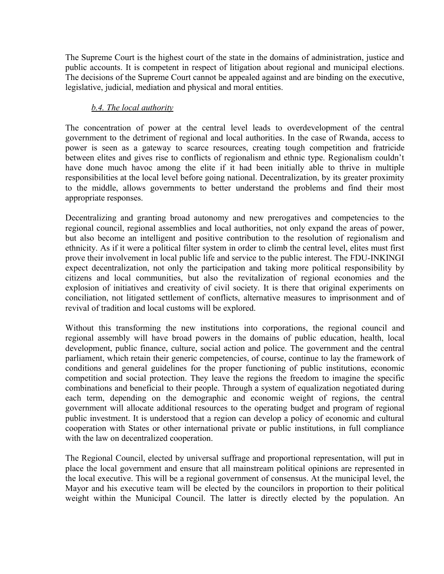The Supreme Court is the highest court of the state in the domains of administration, justice and public accounts. It is competent in respect of litigation about regional and municipal elections. The decisions of the Supreme Court cannot be appealed against and are binding on the executive, legislative, judicial, mediation and physical and moral entities.

#### *b.4. The local authority*

The concentration of power at the central level leads to overdevelopment of the central government to the detriment of regional and local authorities. In the case of Rwanda, access to power is seen as a gateway to scarce resources, creating tough competition and fratricide between elites and gives rise to conflicts of regionalism and ethnic type. Regionalism couldn't have done much havoc among the elite if it had been initially able to thrive in multiple responsibilities at the local level before going national. Decentralization, by its greater proximity to the middle, allows governments to better understand the problems and find their most appropriate responses.

Decentralizing and granting broad autonomy and new prerogatives and competencies to the regional council, regional assemblies and local authorities, not only expand the areas of power, but also become an intelligent and positive contribution to the resolution of regionalism and ethnicity. As if it were a political filter system in order to climb the central level, elites must first prove their involvement in local public life and service to the public interest. The FDU-INKINGI expect decentralization, not only the participation and taking more political responsibility by citizens and local communities, but also the revitalization of regional economies and the explosion of initiatives and creativity of civil society. It is there that original experiments on conciliation, not litigated settlement of conflicts, alternative measures to imprisonment and of revival of tradition and local customs will be explored.

Without this transforming the new institutions into corporations, the regional council and regional assembly will have broad powers in the domains of public education, health, local development, public finance, culture, social action and police. The government and the central parliament, which retain their generic competencies, of course, continue to lay the framework of conditions and general guidelines for the proper functioning of public institutions, economic competition and social protection. They leave the regions the freedom to imagine the specific combinations and beneficial to their people. Through a system of equalization negotiated during each term, depending on the demographic and economic weight of regions, the central government will allocate additional resources to the operating budget and program of regional public investment. It is understood that a region can develop a policy of economic and cultural cooperation with States or other international private or public institutions, in full compliance with the law on decentralized cooperation.

The Regional Council, elected by universal suffrage and proportional representation, will put in place the local government and ensure that all mainstream political opinions are represented in the local executive. This will be a regional government of consensus. At the municipal level, the Mayor and his executive team will be elected by the councilors in proportion to their political weight within the Municipal Council. The latter is directly elected by the population. An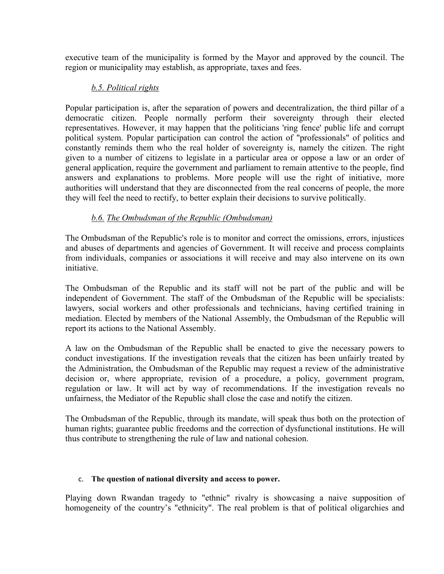executive team of the municipality is formed by the Mayor and approved by the council. The region or municipality may establish, as appropriate, taxes and fees.

#### *b.5. Political rights*

Popular participation is, after the separation of powers and decentralization, the third pillar of a democratic citizen. People normally perform their sovereignty through their elected representatives. However, it may happen that the politicians 'ring fence' public life and corrupt political system. Popular participation can control the action of "professionals" of politics and constantly reminds them who the real holder of sovereignty is, namely the citizen. The right given to a number of citizens to legislate in a particular area or oppose a law or an order of general application, require the government and parliament to remain attentive to the people, find answers and explanations to problems. More people will use the right of initiative, more authorities will understand that they are disconnected from the real concerns of people, the more they will feel the need to rectify, to better explain their decisions to survive politically.

#### *b.6. The Ombudsman of the Republic (Ombudsman)*

The Ombudsman of the Republic's role is to monitor and correct the omissions, errors, injustices and abuses of departments and agencies of Government. It will receive and process complaints from individuals, companies or associations it will receive and may also intervene on its own initiative.

The Ombudsman of the Republic and its staff will not be part of the public and will be independent of Government. The staff of the Ombudsman of the Republic will be specialists: lawyers, social workers and other professionals and technicians, having certified training in mediation. Elected by members of the National Assembly, the Ombudsman of the Republic will report its actions to the National Assembly.

A law on the Ombudsman of the Republic shall be enacted to give the necessary powers to conduct investigations. If the investigation reveals that the citizen has been unfairly treated by the Administration, the Ombudsman of the Republic may request a review of the administrative decision or, where appropriate, revision of a procedure, a policy, government program, regulation or law. It will act by way of recommendations. If the investigation reveals no unfairness, the Mediator of the Republic shall close the case and notify the citizen.

The Ombudsman of the Republic, through its mandate, will speak thus both on the protection of human rights; guarantee public freedoms and the correction of dysfunctional institutions. He will thus contribute to strengthening the rule of law and national cohesion.

#### c. **The question of national diversity and access to power.**

Playing down Rwandan tragedy to "ethnic" rivalry is showcasing a naive supposition of homogeneity of the country's "ethnicity". The real problem is that of political oligarchies and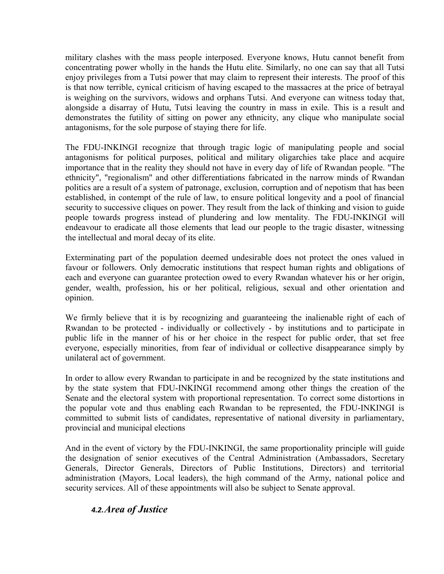military clashes with the mass people interposed. Everyone knows, Hutu cannot benefit from concentrating power wholly in the hands the Hutu elite. Similarly, no one can say that all Tutsi enjoy privileges from a Tutsi power that may claim to represent their interests. The proof of this is that now terrible, cynical criticism of having escaped to the massacres at the price of betrayal is weighing on the survivors, widows and orphans Tutsi. And everyone can witness today that, alongside a disarray of Hutu, Tutsi leaving the country in mass in exile. This is a result and demonstrates the futility of sitting on power any ethnicity, any clique who manipulate social antagonisms, for the sole purpose of staying there for life.

The FDU-INKINGI recognize that through tragic logic of manipulating people and social antagonisms for political purposes, political and military oligarchies take place and acquire importance that in the reality they should not have in every day of life of Rwandan people. "The ethnicity", "regionalism" and other differentiations fabricated in the narrow minds of Rwandan politics are a result of a system of patronage, exclusion, corruption and of nepotism that has been established, in contempt of the rule of law, to ensure political longevity and a pool of financial security to successive cliques on power. They result from the lack of thinking and vision to guide people towards progress instead of plundering and low mentality. The FDU-INKINGI will endeavour to eradicate all those elements that lead our people to the tragic disaster, witnessing the intellectual and moral decay of its elite.

Exterminating part of the population deemed undesirable does not protect the ones valued in favour or followers. Only democratic institutions that respect human rights and obligations of each and everyone can guarantee protection owed to every Rwandan whatever his or her origin, gender, wealth, profession, his or her political, religious, sexual and other orientation and opinion.

We firmly believe that it is by recognizing and guaranteeing the inalienable right of each of Rwandan to be protected - individually or collectively - by institutions and to participate in public life in the manner of his or her choice in the respect for public order, that set free everyone, especially minorities, from fear of individual or collective disappearance simply by unilateral act of government.

In order to allow every Rwandan to participate in and be recognized by the state institutions and by the state system that FDU-INKINGI recommend among other things the creation of the Senate and the electoral system with proportional representation. To correct some distortions in the popular vote and thus enabling each Rwandan to be represented, the FDU-INKINGI is committed to submit lists of candidates, representative of national diversity in parliamentary, provincial and municipal elections

And in the event of victory by the FDU-INKINGI, the same proportionality principle will guide the designation of senior executives of the Central Administration (Ambassadors, Secretary Generals, Director Generals, Directors of Public Institutions, Directors) and territorial administration (Mayors, Local leaders), the high command of the Army, national police and security services. All of these appointments will also be subject to Senate approval.

## *4.2.Area of Justice*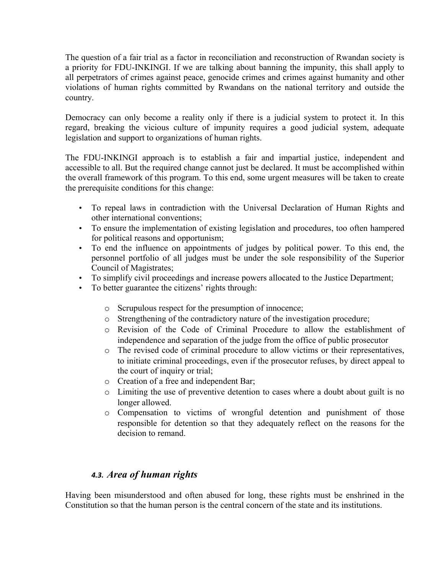The question of a fair trial as a factor in reconciliation and reconstruction of Rwandan society is a priority for FDU-INKINGI. If we are talking about banning the impunity, this shall apply to all perpetrators of crimes against peace, genocide crimes and crimes against humanity and other violations of human rights committed by Rwandans on the national territory and outside the country.

Democracy can only become a reality only if there is a judicial system to protect it. In this regard, breaking the vicious culture of impunity requires a good judicial system, adequate legislation and support to organizations of human rights.

The FDU-INKINGI approach is to establish a fair and impartial justice, independent and accessible to all. But the required change cannot just be declared. It must be accomplished within the overall framework of this program. To this end, some urgent measures will be taken to create the prerequisite conditions for this change:

- To repeal laws in contradiction with the Universal Declaration of Human Rights and other international conventions;
- To ensure the implementation of existing legislation and procedures, too often hampered for political reasons and opportunism;
- To end the influence on appointments of judges by political power. To this end, the personnel portfolio of all judges must be under the sole responsibility of the Superior Council of Magistrates;
- To simplify civil proceedings and increase powers allocated to the Justice Department;
- To better guarantee the citizens' rights through:
	- o Scrupulous respect for the presumption of innocence;
	- o Strengthening of the contradictory nature of the investigation procedure;
	- o Revision of the Code of Criminal Procedure to allow the establishment of independence and separation of the judge from the office of public prosecutor
	- o The revised code of criminal procedure to allow victims or their representatives, to initiate criminal proceedings, even if the prosecutor refuses, by direct appeal to the court of inquiry or trial;
	- o Creation of a free and independent Bar;
	- o Limiting the use of preventive detention to cases where a doubt about guilt is no longer allowed.
	- o Compensation to victims of wrongful detention and punishment of those responsible for detention so that they adequately reflect on the reasons for the decision to remand.

## *4.3. Area of human rights*

Having been misunderstood and often abused for long, these rights must be enshrined in the Constitution so that the human person is the central concern of the state and its institutions.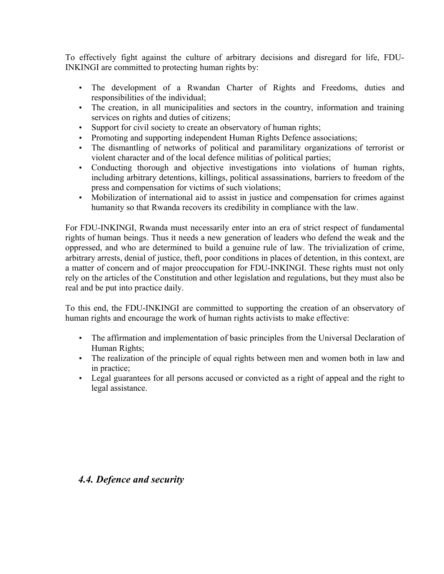To effectively fight against the culture of arbitrary decisions and disregard for life, FDU-INKINGI are committed to protecting human rights by:

- The development of a Rwandan Charter of Rights and Freedoms, duties and responsibilities of the individual;
- The creation, in all municipalities and sectors in the country, information and training services on rights and duties of citizens;
- Support for civil society to create an observatory of human rights;
- Promoting and supporting independent Human Rights Defence associations;
- The dismantling of networks of political and paramilitary organizations of terrorist or violent character and of the local defence militias of political parties;
- Conducting thorough and objective investigations into violations of human rights, including arbitrary detentions, killings, political assassinations, barriers to freedom of the press and compensation for victims of such violations;
- Mobilization of international aid to assist in justice and compensation for crimes against humanity so that Rwanda recovers its credibility in compliance with the law.

For FDU-INKINGI, Rwanda must necessarily enter into an era of strict respect of fundamental rights of human beings. Thus it needs a new generation of leaders who defend the weak and the oppressed, and who are determined to build a genuine rule of law. The trivialization of crime, arbitrary arrests, denial of justice, theft, poor conditions in places of detention, in this context, are a matter of concern and of major preoccupation for FDU-INKINGI. These rights must not only rely on the articles of the Constitution and other legislation and regulations, but they must also be real and be put into practice daily.

To this end, the FDU-INKINGI are committed to supporting the creation of an observatory of human rights and encourage the work of human rights activists to make effective:

- The affirmation and implementation of basic principles from the Universal Declaration of Human Rights;
- The realization of the principle of equal rights between men and women both in law and in practice;
- Legal guarantees for all persons accused or convicted as a right of appeal and the right to legal assistance.

## *4.4. Defence and security*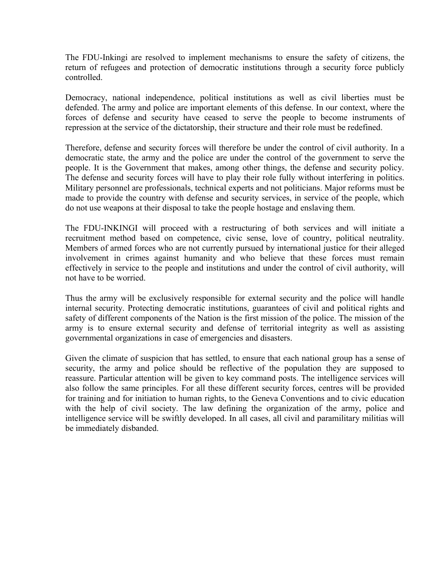The FDU-Inkingi are resolved to implement mechanisms to ensure the safety of citizens, the return of refugees and protection of democratic institutions through a security force publicly controlled.

Democracy, national independence, political institutions as well as civil liberties must be defended. The army and police are important elements of this defense. In our context, where the forces of defense and security have ceased to serve the people to become instruments of repression at the service of the dictatorship, their structure and their role must be redefined.

Therefore, defense and security forces will therefore be under the control of civil authority. In a democratic state, the army and the police are under the control of the government to serve the people. It is the Government that makes, among other things, the defense and security policy. The defense and security forces will have to play their role fully without interfering in politics. Military personnel are professionals, technical experts and not politicians. Major reforms must be made to provide the country with defense and security services, in service of the people, which do not use weapons at their disposal to take the people hostage and enslaving them.

The FDU-INKINGI will proceed with a restructuring of both services and will initiate a recruitment method based on competence, civic sense, love of country, political neutrality. Members of armed forces who are not currently pursued by international justice for their alleged involvement in crimes against humanity and who believe that these forces must remain effectively in service to the people and institutions and under the control of civil authority, will not have to be worried.

Thus the army will be exclusively responsible for external security and the police will handle internal security. Protecting democratic institutions, guarantees of civil and political rights and safety of different components of the Nation is the first mission of the police. The mission of the army is to ensure external security and defense of territorial integrity as well as assisting governmental organizations in case of emergencies and disasters.

Given the climate of suspicion that has settled, to ensure that each national group has a sense of security, the army and police should be reflective of the population they are supposed to reassure. Particular attention will be given to key command posts. The intelligence services will also follow the same principles. For all these different security forces, centres will be provided for training and for initiation to human rights, to the Geneva Conventions and to civic education with the help of civil society. The law defining the organization of the army, police and intelligence service will be swiftly developed. In all cases, all civil and paramilitary militias will be immediately disbanded.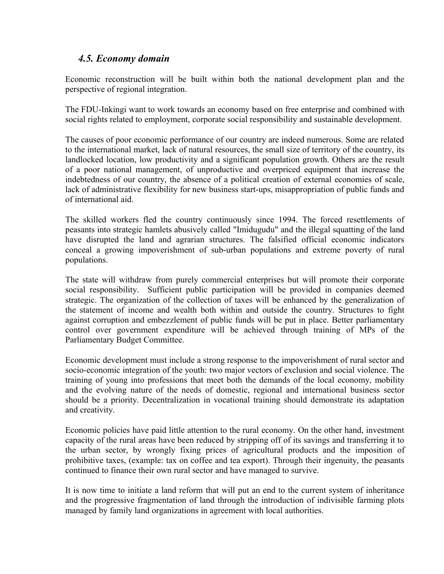### *4.5. Economy domain*

Economic reconstruction will be built within both the national development plan and the perspective of regional integration.

The FDU-Inkingi want to work towards an economy based on free enterprise and combined with social rights related to employment, corporate social responsibility and sustainable development.

The causes of poor economic performance of our country are indeed numerous. Some are related to the international market, lack of natural resources, the small size of territory of the country, its landlocked location, low productivity and a significant population growth. Others are the result of a poor national management, of unproductive and overpriced equipment that increase the indebtedness of our country, the absence of a political creation of external economies of scale, lack of administrative flexibility for new business start-ups, misappropriation of public funds and of international aid.

The skilled workers fled the country continuously since 1994. The forced resettlements of peasants into strategic hamlets abusively called "Imidugudu" and the illegal squatting of the land have disrupted the land and agrarian structures. The falsified official economic indicators conceal a growing impoverishment of sub-urban populations and extreme poverty of rural populations.

The state will withdraw from purely commercial enterprises but will promote their corporate social responsibility. Sufficient public participation will be provided in companies deemed strategic. The organization of the collection of taxes will be enhanced by the generalization of the statement of income and wealth both within and outside the country. Structures to fight against corruption and embezzlement of public funds will be put in place. Better parliamentary control over government expenditure will be achieved through training of MPs of the Parliamentary Budget Committee.

Economic development must include a strong response to the impoverishment of rural sector and socio-economic integration of the youth: two major vectors of exclusion and social violence. The training of young into professions that meet both the demands of the local economy, mobility and the evolving nature of the needs of domestic, regional and international business sector should be a priority. Decentralization in vocational training should demonstrate its adaptation and creativity.

Economic policies have paid little attention to the rural economy. On the other hand, investment capacity of the rural areas have been reduced by stripping off of its savings and transferring it to the urban sector, by wrongly fixing prices of agricultural products and the imposition of prohibitive taxes, (example: tax on coffee and tea export). Through their ingenuity, the peasants continued to finance their own rural sector and have managed to survive.

It is now time to initiate a land reform that will put an end to the current system of inheritance and the progressive fragmentation of land through the introduction of indivisible farming plots managed by family land organizations in agreement with local authorities.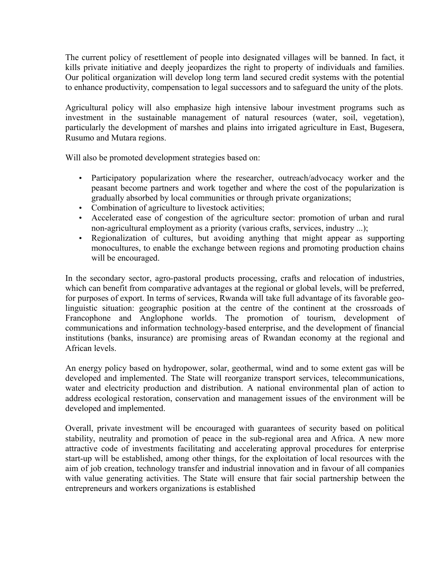The current policy of resettlement of people into designated villages will be banned. In fact, it kills private initiative and deeply jeopardizes the right to property of individuals and families. Our political organization will develop long term land secured credit systems with the potential to enhance productivity, compensation to legal successors and to safeguard the unity of the plots.

Agricultural policy will also emphasize high intensive labour investment programs such as investment in the sustainable management of natural resources (water, soil, vegetation), particularly the development of marshes and plains into irrigated agriculture in East, Bugesera, Rusumo and Mutara regions.

Will also be promoted development strategies based on:

- Participatory popularization where the researcher, outreach/advocacy worker and the peasant become partners and work together and where the cost of the popularization is gradually absorbed by local communities or through private organizations;
- Combination of agriculture to livestock activities;
- Accelerated ease of congestion of the agriculture sector: promotion of urban and rural non-agricultural employment as a priority (various crafts, services, industry ...);
- Regionalization of cultures, but avoiding anything that might appear as supporting monocultures, to enable the exchange between regions and promoting production chains will be encouraged.

In the secondary sector, agro-pastoral products processing, crafts and relocation of industries, which can benefit from comparative advantages at the regional or global levels, will be preferred, for purposes of export. In terms of services, Rwanda will take full advantage of its favorable geolinguistic situation: geographic position at the centre of the continent at the crossroads of Francophone and Anglophone worlds. The promotion of tourism, development of communications and information technology-based enterprise, and the development of financial institutions (banks, insurance) are promising areas of Rwandan economy at the regional and African levels.

An energy policy based on hydropower, solar, geothermal, wind and to some extent gas will be developed and implemented. The State will reorganize transport services, telecommunications, water and electricity production and distribution. A national environmental plan of action to address ecological restoration, conservation and management issues of the environment will be developed and implemented.

Overall, private investment will be encouraged with guarantees of security based on political stability, neutrality and promotion of peace in the sub-regional area and Africa. A new more attractive code of investments facilitating and accelerating approval procedures for enterprise start-up will be established, among other things, for the exploitation of local resources with the aim of job creation, technology transfer and industrial innovation and in favour of all companies with value generating activities. The State will ensure that fair social partnership between the entrepreneurs and workers organizations is established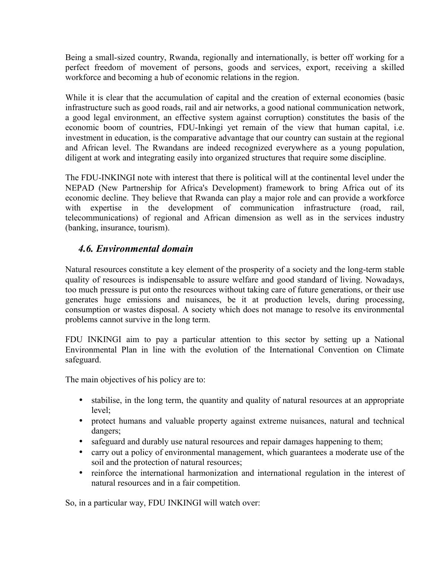Being a small-sized country, Rwanda, regionally and internationally, is better off working for a perfect freedom of movement of persons, goods and services, export, receiving a skilled workforce and becoming a hub of economic relations in the region.

While it is clear that the accumulation of capital and the creation of external economies (basic infrastructure such as good roads, rail and air networks, a good national communication network, a good legal environment, an effective system against corruption) constitutes the basis of the economic boom of countries, FDU-Inkingi yet remain of the view that human capital, i.e. investment in education, is the comparative advantage that our country can sustain at the regional and African level. The Rwandans are indeed recognized everywhere as a young population, diligent at work and integrating easily into organized structures that require some discipline.

The FDU-INKINGI note with interest that there is political will at the continental level under the NEPAD (New Partnership for Africa's Development) framework to bring Africa out of its economic decline. They believe that Rwanda can play a major role and can provide a workforce with expertise in the development of communication infrastructure (road, rail, telecommunications) of regional and African dimension as well as in the services industry (banking, insurance, tourism).

# *4.6. Environmental domain*

Natural resources constitute a key element of the prosperity of a society and the long-term stable quality of resources is indispensable to assure welfare and good standard of living. Nowadays, too much pressure is put onto the resources without taking care of future generations, or their use generates huge emissions and nuisances, be it at production levels, during processing, consumption or wastes disposal. A society which does not manage to resolve its environmental problems cannot survive in the long term.

FDU INKINGI aim to pay a particular attention to this sector by setting up a National Environmental Plan in line with the evolution of the International Convention on Climate safeguard.

The main objectives of his policy are to:

- stabilise, in the long term, the quantity and quality of natural resources at an appropriate level;
- protect humans and valuable property against extreme nuisances, natural and technical dangers;
- safeguard and durably use natural resources and repair damages happening to them;
- carry out a policy of environmental management, which guarantees a moderate use of the soil and the protection of natural resources;
- reinforce the international harmonization and international regulation in the interest of natural resources and in a fair competition.

So, in a particular way, FDU INKINGI will watch over: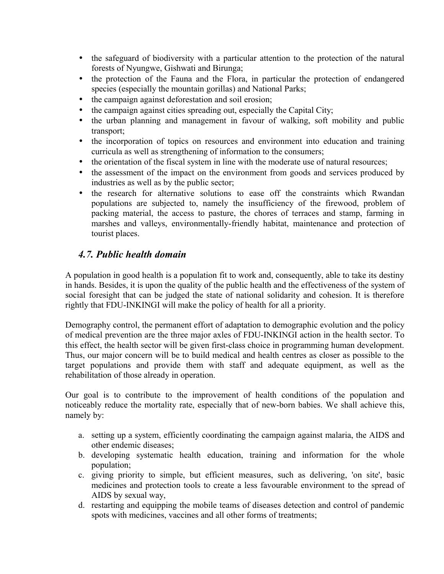- the safeguard of biodiversity with a particular attention to the protection of the natural forests of Nyungwe, Gishwati and Birunga;
- the protection of the Fauna and the Flora, in particular the protection of endangered species (especially the mountain gorillas) and National Parks;
- the campaign against deforestation and soil erosion;
- the campaign against cities spreading out, especially the Capital City;
- the urban planning and management in favour of walking, soft mobility and public transport;
- the incorporation of topics on resources and environment into education and training curricula as well as strengthening of information to the consumers;
- the orientation of the fiscal system in line with the moderate use of natural resources;
- the assessment of the impact on the environment from goods and services produced by industries as well as by the public sector;
- the research for alternative solutions to ease off the constraints which Rwandan populations are subjected to, namely the insufficiency of the firewood, problem of packing material, the access to pasture, the chores of terraces and stamp, farming in marshes and valleys, environmentally-friendly habitat, maintenance and protection of tourist places.

# *4.7. Public health domain*

A population in good health is a population fit to work and, consequently, able to take its destiny in hands. Besides, it is upon the quality of the public health and the effectiveness of the system of social foresight that can be judged the state of national solidarity and cohesion. It is therefore rightly that FDU-INKINGI will make the policy of health for all a priority.

Demography control, the permanent effort of adaptation to demographic evolution and the policy of medical prevention are the three major axles of FDU-INKINGI action in the health sector. To this effect, the health sector will be given first-class choice in programming human development. Thus, our major concern will be to build medical and health centres as closer as possible to the target populations and provide them with staff and adequate equipment, as well as the rehabilitation of those already in operation.

Our goal is to contribute to the improvement of health conditions of the population and noticeably reduce the mortality rate, especially that of new-born babies. We shall achieve this, namely by:

- a. setting up a system, efficiently coordinating the campaign against malaria, the AIDS and other endemic diseases;
- b. developing systematic health education, training and information for the whole population;
- c. giving priority to simple, but efficient measures, such as delivering, 'on site', basic medicines and protection tools to create a less favourable environment to the spread of AIDS by sexual way,
- d. restarting and equipping the mobile teams of diseases detection and control of pandemic spots with medicines, vaccines and all other forms of treatments;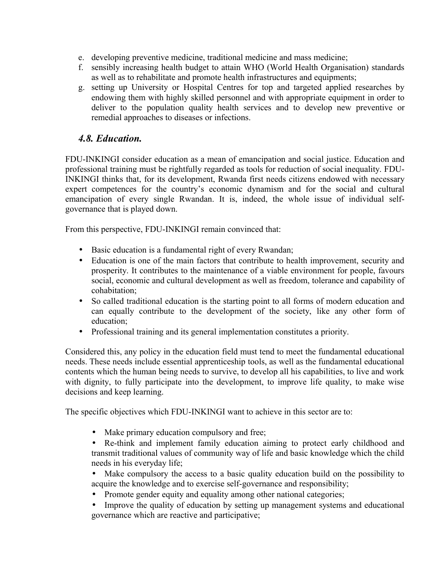- e. developing preventive medicine, traditional medicine and mass medicine;
- f. sensibly increasing health budget to attain WHO (World Health Organisation) standards as well as to rehabilitate and promote health infrastructures and equipments;
- g. setting up University or Hospital Centres for top and targeted applied researches by endowing them with highly skilled personnel and with appropriate equipment in order to deliver to the population quality health services and to develop new preventive or remedial approaches to diseases or infections.

# *4.8. Education.*

FDU-INKINGI consider education as a mean of emancipation and social justice. Education and professional training must be rightfully regarded as tools for reduction of social inequality. FDU-INKINGI thinks that, for its development, Rwanda first needs citizens endowed with necessary expert competences for the country's economic dynamism and for the social and cultural emancipation of every single Rwandan. It is, indeed, the whole issue of individual selfgovernance that is played down.

From this perspective, FDU-INKINGI remain convinced that:

- Basic education is a fundamental right of every Rwandan;
- Education is one of the main factors that contribute to health improvement, security and prosperity. It contributes to the maintenance of a viable environment for people, favours social, economic and cultural development as well as freedom, tolerance and capability of cohabitation;
- So called traditional education is the starting point to all forms of modern education and can equally contribute to the development of the society, like any other form of education;
- Professional training and its general implementation constitutes a priority.

Considered this, any policy in the education field must tend to meet the fundamental educational needs. These needs include essential apprenticeship tools, as well as the fundamental educational contents which the human being needs to survive, to develop all his capabilities, to live and work with dignity, to fully participate into the development, to improve life quality, to make wise decisions and keep learning.

The specific objectives which FDU-INKINGI want to achieve in this sector are to:

- Make primary education compulsory and free;
- Re-think and implement family education aiming to protect early childhood and transmit traditional values of community way of life and basic knowledge which the child needs in his everyday life;
- Make compulsory the access to a basic quality education build on the possibility to acquire the knowledge and to exercise self-governance and responsibility;
- Promote gender equity and equality among other national categories;
- Improve the quality of education by setting up management systems and educational governance which are reactive and participative;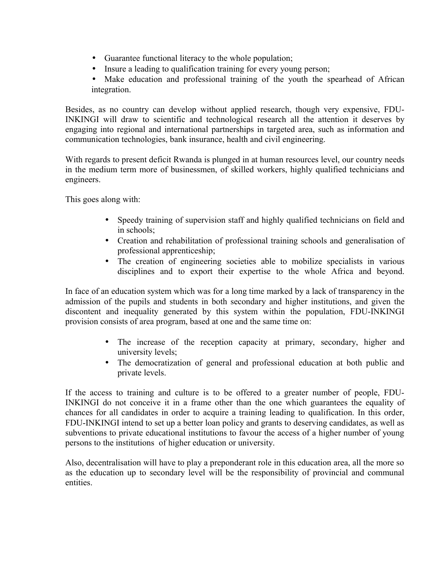- Guarantee functional literacy to the whole population;
- Insure a leading to qualification training for every young person;
- Make education and professional training of the youth the spearhead of African integration.

Besides, as no country can develop without applied research, though very expensive, FDU-INKINGI will draw to scientific and technological research all the attention it deserves by engaging into regional and international partnerships in targeted area, such as information and communication technologies, bank insurance, health and civil engineering.

With regards to present deficit Rwanda is plunged in at human resources level, our country needs in the medium term more of businessmen, of skilled workers, highly qualified technicians and engineers.

This goes along with:

- Speedy training of supervision staff and highly qualified technicians on field and in schools;
- Creation and rehabilitation of professional training schools and generalisation of professional apprenticeship;
- The creation of engineering societies able to mobilize specialists in various disciplines and to export their expertise to the whole Africa and beyond.

In face of an education system which was for a long time marked by a lack of transparency in the admission of the pupils and students in both secondary and higher institutions, and given the discontent and inequality generated by this system within the population, FDU-INKINGI provision consists of area program, based at one and the same time on:

- The increase of the reception capacity at primary, secondary, higher and university levels;
- The democratization of general and professional education at both public and private levels.

If the access to training and culture is to be offered to a greater number of people, FDU-INKINGI do not conceive it in a frame other than the one which guarantees the equality of chances for all candidates in order to acquire a training leading to qualification. In this order, FDU-INKINGI intend to set up a better loan policy and grants to deserving candidates, as well as subventions to private educational institutions to favour the access of a higher number of young persons to the institutions of higher education or university.

Also, decentralisation will have to play a preponderant role in this education area, all the more so as the education up to secondary level will be the responsibility of provincial and communal entities.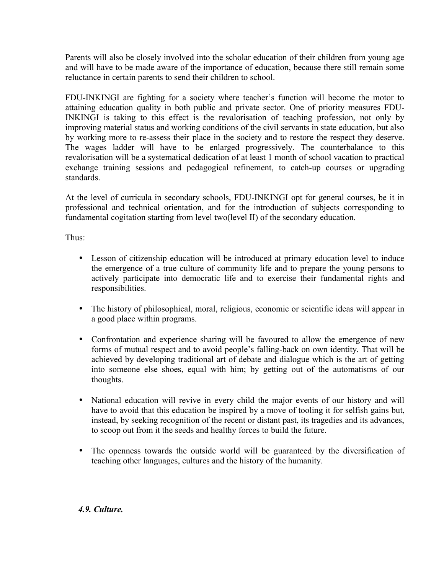Parents will also be closely involved into the scholar education of their children from young age and will have to be made aware of the importance of education, because there still remain some reluctance in certain parents to send their children to school.

FDU-INKINGI are fighting for a society where teacher's function will become the motor to attaining education quality in both public and private sector. One of priority measures FDU-INKINGI is taking to this effect is the revalorisation of teaching profession, not only by improving material status and working conditions of the civil servants in state education, but also by working more to re-assess their place in the society and to restore the respect they deserve. The wages ladder will have to be enlarged progressively. The counterbalance to this revalorisation will be a systematical dedication of at least 1 month of school vacation to practical exchange training sessions and pedagogical refinement, to catch-up courses or upgrading standards.

At the level of curricula in secondary schools, FDU-INKINGI opt for general courses, be it in professional and technical orientation, and for the introduction of subjects corresponding to fundamental cogitation starting from level two(level II) of the secondary education.

Thus:

- Lesson of citizenship education will be introduced at primary education level to induce the emergence of a true culture of community life and to prepare the young persons to actively participate into democratic life and to exercise their fundamental rights and responsibilities.
- The history of philosophical, moral, religious, economic or scientific ideas will appear in a good place within programs.
- Confrontation and experience sharing will be favoured to allow the emergence of new forms of mutual respect and to avoid people's falling-back on own identity. That will be achieved by developing traditional art of debate and dialogue which is the art of getting into someone else shoes, equal with him; by getting out of the automatisms of our thoughts.
- National education will revive in every child the major events of our history and will have to avoid that this education be inspired by a move of tooling it for selfish gains but, instead, by seeking recognition of the recent or distant past, its tragedies and its advances, to scoop out from it the seeds and healthy forces to build the future.
- The openness towards the outside world will be guaranteed by the diversification of teaching other languages, cultures and the history of the humanity.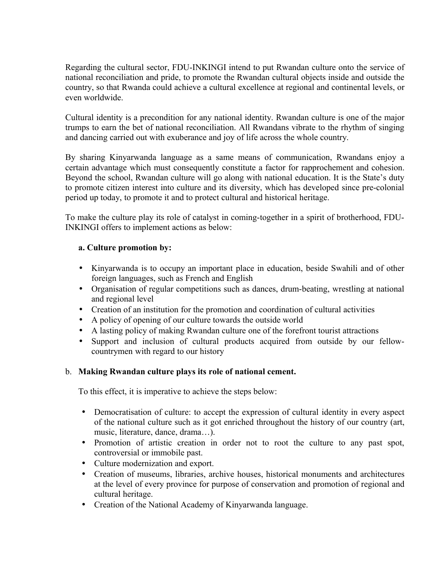Regarding the cultural sector, FDU-INKINGI intend to put Rwandan culture onto the service of national reconciliation and pride, to promote the Rwandan cultural objects inside and outside the country, so that Rwanda could achieve a cultural excellence at regional and continental levels, or even worldwide.

Cultural identity is a precondition for any national identity. Rwandan culture is one of the major trumps to earn the bet of national reconciliation. All Rwandans vibrate to the rhythm of singing and dancing carried out with exuberance and joy of life across the whole country.

By sharing Kinyarwanda language as a same means of communication, Rwandans enjoy a certain advantage which must consequently constitute a factor for rapprochement and cohesion. Beyond the school, Rwandan culture will go along with national education. It is the State's duty to promote citizen interest into culture and its diversity, which has developed since pre-colonial period up today, to promote it and to protect cultural and historical heritage.

To make the culture play its role of catalyst in coming-together in a spirit of brotherhood, FDU-INKINGI offers to implement actions as below:

#### **a. Culture promotion by:**

- Kinyarwanda is to occupy an important place in education, beside Swahili and of other foreign languages, such as French and English
- Organisation of regular competitions such as dances, drum-beating, wrestling at national and regional level
- Creation of an institution for the promotion and coordination of cultural activities
- A policy of opening of our culture towards the outside world
- A lasting policy of making Rwandan culture one of the forefront tourist attractions
- Support and inclusion of cultural products acquired from outside by our fellowcountrymen with regard to our history

#### b. **Making Rwandan culture plays its role of national cement.**

To this effect, it is imperative to achieve the steps below:

- Democratisation of culture: to accept the expression of cultural identity in every aspect of the national culture such as it got enriched throughout the history of our country (art, music, literature, dance, drama…).
- Promotion of artistic creation in order not to root the culture to any past spot, controversial or immobile past.
- Culture modernization and export.
- Creation of museums, libraries, archive houses, historical monuments and architectures at the level of every province for purpose of conservation and promotion of regional and cultural heritage.
- Creation of the National Academy of Kinyarwanda language.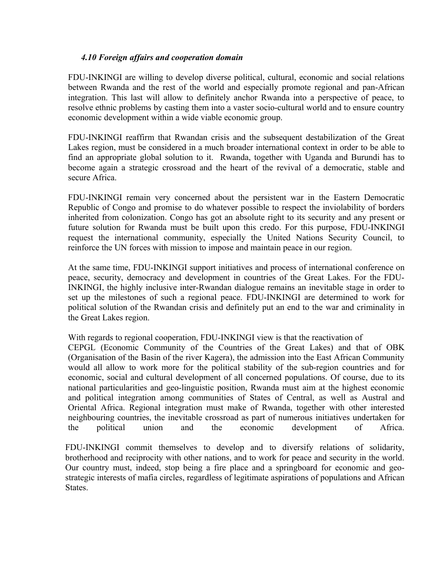#### *4.10 Foreign affairs and cooperation domain*

FDU-INKINGI are willing to develop diverse political, cultural, economic and social relations between Rwanda and the rest of the world and especially promote regional and pan-African integration. This last will allow to definitely anchor Rwanda into a perspective of peace, to resolve ethnic problems by casting them into a vaster socio-cultural world and to ensure country economic development within a wide viable economic group.

FDU-INKINGI reaffirm that Rwandan crisis and the subsequent destabilization of the Great Lakes region, must be considered in a much broader international context in order to be able to find an appropriate global solution to it. Rwanda, together with Uganda and Burundi has to become again a strategic crossroad and the heart of the revival of a democratic, stable and secure Africa.

FDU-INKINGI remain very concerned about the persistent war in the Eastern Democratic Republic of Congo and promise to do whatever possible to respect the inviolability of borders inherited from colonization. Congo has got an absolute right to its security and any present or future solution for Rwanda must be built upon this credo. For this purpose, FDU-INKINGI request the international community, especially the United Nations Security Council, to reinforce the UN forces with mission to impose and maintain peace in our region.

At the same time, FDU-INKINGI support initiatives and process of international conference on peace, security, democracy and development in countries of the Great Lakes. For the FDU-INKINGI, the highly inclusive inter-Rwandan dialogue remains an inevitable stage in order to set up the milestones of such a regional peace. FDU-INKINGI are determined to work for political solution of the Rwandan crisis and definitely put an end to the war and criminality in the Great Lakes region.

With regards to regional cooperation, FDU-INKINGI view is that the reactivation of

CEPGL (Economic Community of the Countries of the Great Lakes) and that of OBK (Organisation of the Basin of the river Kagera), the admission into the East African Community would all allow to work more for the political stability of the sub-region countries and for economic, social and cultural development of all concerned populations. Of course, due to its national particularities and geo-linguistic position, Rwanda must aim at the highest economic and political integration among communities of States of Central, as well as Austral and Oriental Africa. Regional integration must make of Rwanda, together with other interested neighbouring countries, the inevitable crossroad as part of numerous initiatives undertaken for the political union and the economic development of Africa.

FDU-INKINGI commit themselves to develop and to diversify relations of solidarity, brotherhood and reciprocity with other nations, and to work for peace and security in the world. Our country must, indeed, stop being a fire place and a springboard for economic and geostrategic interests of mafia circles, regardless of legitimate aspirations of populations and African States.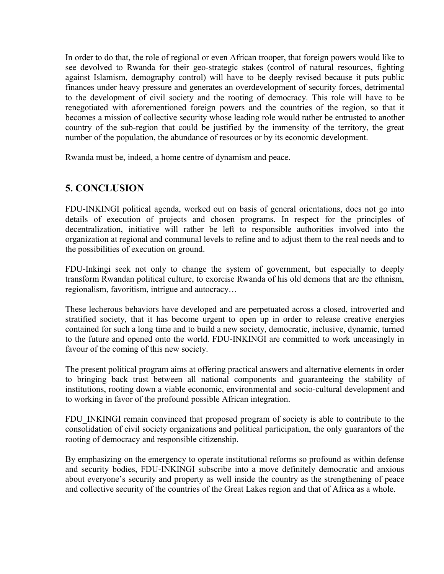In order to do that, the role of regional or even African trooper, that foreign powers would like to see devolved to Rwanda for their geo-strategic stakes (control of natural resources, fighting against Islamism, demography control) will have to be deeply revised because it puts public finances under heavy pressure and generates an overdevelopment of security forces, detrimental to the development of civil society and the rooting of democracy. This role will have to be renegotiated with aforementioned foreign powers and the countries of the region, so that it becomes a mission of collective security whose leading role would rather be entrusted to another country of the sub-region that could be justified by the immensity of the territory, the great number of the population, the abundance of resources or by its economic development.

Rwanda must be, indeed, a home centre of dynamism and peace.

# **5. CONCLUSION**

FDU-INKINGI political agenda, worked out on basis of general orientations, does not go into details of execution of projects and chosen programs. In respect for the principles of decentralization, initiative will rather be left to responsible authorities involved into the organization at regional and communal levels to refine and to adjust them to the real needs and to the possibilities of execution on ground.

FDU-Inkingi seek not only to change the system of government, but especially to deeply transform Rwandan political culture, to exorcise Rwanda of his old demons that are the ethnism, regionalism, favoritism, intrigue and autocracy…

These lecherous behaviors have developed and are perpetuated across a closed, introverted and stratified society, that it has become urgent to open up in order to release creative energies contained for such a long time and to build a new society, democratic, inclusive, dynamic, turned to the future and opened onto the world. FDU-INKINGI are committed to work unceasingly in favour of the coming of this new society.

The present political program aims at offering practical answers and alternative elements in order to bringing back trust between all national components and guaranteeing the stability of institutions, rooting down a viable economic, environmental and socio-cultural development and to working in favor of the profound possible African integration.

FDU INKINGI remain convinced that proposed program of society is able to contribute to the consolidation of civil society organizations and political participation, the only guarantors of the rooting of democracy and responsible citizenship.

By emphasizing on the emergency to operate institutional reforms so profound as within defense and security bodies, FDU-INKINGI subscribe into a move definitely democratic and anxious about everyone's security and property as well inside the country as the strengthening of peace and collective security of the countries of the Great Lakes region and that of Africa as a whole.